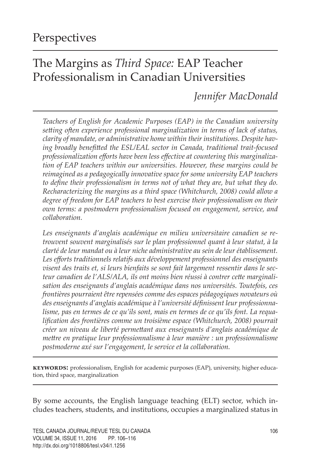# The Margins as *Third Space:* EAP Teacher Professionalism in Canadian Universities

*Jennifer MacDonald*

*Teachers of English for Academic Purposes (EAP) in the Canadian university setting often experience professional marginalization in terms of lack of status, clarity of mandate, or administrative home within their institutions. Despite having broadly benefitted the ESL/EAL sector in Canada, traditional trait-focused professionalization efforts have been less effective at countering this marginalization of EAP teachers within our universities. However, these margins could be reimagined as a pedagogically innovative space for some university EAP teachers to define their professionalism in terms not of what they are, but what they do. Recharacterizing the margins as a third space (Whitchurch, 2008) could allow a degree of freedom for EAP teachers to best exercise their professionalism on their own terms: a postmodern professionalism focused on engagement, service, and collaboration.*

*Les enseignants d'anglais académique en milieu universitaire canadien se retrouvent souvent marginalisés sur le plan professionnel quant à leur statut, à la clarté de leur mandat ou à leur niche administrative au sein de leur établissement. Les efforts traditionnels relatifs aux développement professionnel des enseignants visent des traits et, si leurs bienfaits se sont fait largement ressentir dans le secteur canadien de l'ALS/ALA, ils ont moins bien réussi à contrer cette marginalisation des enseignants d'anglais académique dans nos universités. Toutefois, ces frontières pourraient être repensées comme des espaces pédagogiques novateurs où des enseignants d'anglais académique à l'université définissent leur professionnalisme, pas en termes de ce qu'ils sont, mais en termes de ce qu'ils font. La requalification des frontières comme un troisième espace (Whitchurch, 2008) pourrait créer un niveau de liberté permettant aux enseignants d'anglais académique de mettre en pratique leur professionnalisme à leur manière : un professionnalisme postmoderne axé sur l'engagement, le service et la collaboration.*

**keywords:** professionalism, English for academic purposes (EAP), university, higher education, third space, marginalization

By some accounts, the English language teaching (ELT) sector, which includes teachers, students, and institutions, occupies a marginalized status in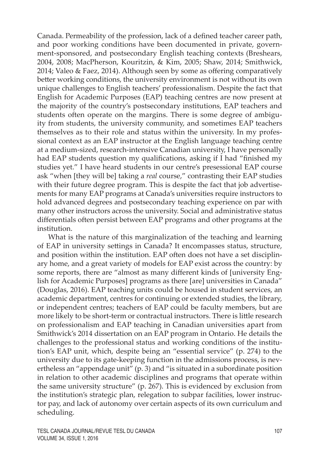Canada. Permeability of the profession, lack of a defined teacher career path, and poor working conditions have been documented in private, government-sponsored, and postsecondary English teaching contexts (Breshears, 2004, 2008; MacPherson, Kouritzin, & Kim, 2005; Shaw, 2014; Smithwick, 2014; Valeo & Faez, 2014). Although seen by some as offering comparatively better working conditions, the university environment is not without its own unique challenges to English teachers' professionalism. Despite the fact that English for Academic Purposes (EAP) teaching centres are now present at the majority of the country's postsecondary institutions, EAP teachers and students often operate on the margins. There is some degree of ambiguity from students, the university community, and sometimes EAP teachers themselves as to their role and status within the university. In my professional context as an EAP instructor at the English language teaching centre at a medium-sized, research-intensive Canadian university, I have personally had EAP students question my qualifications, asking if I had "finished my studies yet." I have heard students in our centre's presessional EAP course ask "when [they will be] taking a *real* course," contrasting their EAP studies with their future degree program. This is despite the fact that job advertisements for many EAP programs at Canada's universities require instructors to hold advanced degrees and postsecondary teaching experience on par with many other instructors across the university. Social and administrative status differentials often persist between EAP programs and other programs at the institution.

What is the nature of this marginalization of the teaching and learning of EAP in university settings in Canada? It encompasses status, structure, and position within the institution. EAP often does not have a set disciplinary home, and a great variety of models for EAP exist across the country: by some reports, there are "almost as many different kinds of [university English for Academic Purposes] programs as there [are] universities in Canada" (Douglas, 2016). EAP teaching units could be housed in student services, an academic department, centres for continuing or extended studies, the library, or independent centres; teachers of EAP could be faculty members, but are more likely to be short-term or contractual instructors. There is little research on professionalism and EAP teaching in Canadian universities apart from Smithwick's 2014 dissertation on an EAP program in Ontario. He details the challenges to the professional status and working conditions of the institution's EAP unit, which, despite being an "essential service" (p. 274) to the university due to its gate-keeping function in the admissions process, is nevertheless an "appendage unit" (p. 3) and "is situated in a subordinate position in relation to other academic disciplines and programs that operate within the same university structure" (p. 267). This is evidenced by exclusion from the institution's strategic plan, relegation to subpar facilities, lower instructor pay, and lack of autonomy over certain aspects of its own curriculum and scheduling.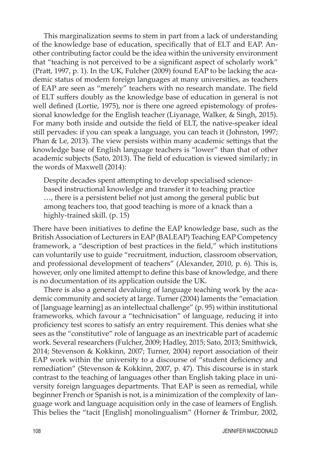This marginalization seems to stem in part from a lack of understanding of the knowledge base of education, specifically that of ELT and EAP. Another contributing factor could be the idea within the university environment that "teaching is not perceived to be a significant aspect of scholarly work" (Pratt, 1997, p. 1). In the UK, Fulcher (2009) found EAP to be lacking the academic status of modern foreign languages at many universities, as teachers of EAP are seen as "merely" teachers with no research mandate. The field of ELT suffers doubly as the knowledge base of education in general is not well defined (Lortie, 1975), nor is there one agreed epistemology of professional knowledge for the English teacher (Liyanage, Walker, & Singh, 2015). For many both inside and outside the field of ELT, the native-speaker ideal still pervades: if you can speak a language, you can teach it (Johnston, 1997; Phan & Le, 2013). The view persists within many academic settings that the knowledge base of English language teachers is "lower" than that of other academic subjects (Sato, 2013). The field of education is viewed similarly; in the words of Maxwell (2014):

Despite decades spent attempting to develop specialised sciencebased instructional knowledge and transfer it to teaching practice …, there is a persistent belief not just among the general public but among teachers too, that good teaching is more of a knack than a highly-trained skill. (p. 15)

There have been initiatives to define the EAP knowledge base, such as the British Association of Lecturers in EAP (BALEAP) Teaching EAP Competency framework, a "description of best practices in the field," which institutions can voluntarily use to guide "recruitment, induction, classroom observation, and professional development of teachers" (Alexander, 2010, p. 6). This is, however, only one limited attempt to define this base of knowledge, and there is no documentation of its application outside the UK.

There is also a general devaluing of language teaching work by the academic community and society at large. Turner (2004) laments the "emaciation of [language learning] as an intellectual challenge" (p. 95) within institutional frameworks, which favour a "technicisation" of language, reducing it into proficiency test scores to satisfy an entry requirement. This denies what she sees as the "constitutive" role of language as an inextricable part of academic work. Several researchers (Fulcher, 2009; Hadley, 2015; Sato, 2013; Smithwick, 2014; Stevenson & Kokkinn, 2007; Turner, 2004) report association of their EAP work within the university to a discourse of "student deficiency and remediation" (Stevenson & Kokkinn, 2007, p. 47). This discourse is in stark contrast to the teaching of languages other than English taking place in university foreign languages departments. That EAP is seen as remedial, while beginner French or Spanish is not, is a minimization of the complexity of language work and language acquisition only in the case of learners of English. This belies the "tacit [English] monolingualism" (Horner & Trimbur, 2002,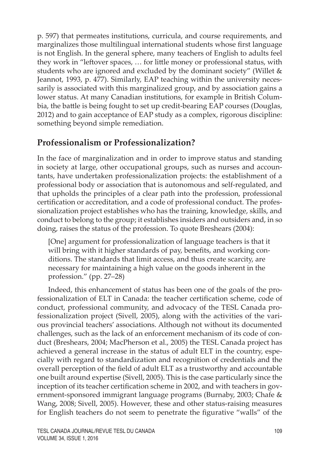p. 597) that permeates institutions, curricula, and course requirements, and marginalizes those multilingual international students whose first language is not English. In the general sphere, many teachers of English to adults feel they work in "leftover spaces, … for little money or professional status, with students who are ignored and excluded by the dominant society" (Willet & Jeannot, 1993, p. 477). Similarly, EAP teaching within the university necessarily is associated with this marginalized group, and by association gains a lower status. At many Canadian institutions, for example in British Columbia, the battle is being fought to set up credit-bearing EAP courses (Douglas, 2012) and to gain acceptance of EAP study as a complex, rigorous discipline: something beyond simple remediation.

## **Professionalism or Professionalization?**

In the face of marginalization and in order to improve status and standing in society at large, other occupational groups, such as nurses and accountants, have undertaken professionalization projects: the establishment of a professional body or association that is autonomous and self-regulated, and that upholds the principles of a clear path into the profession, professional certification or accreditation, and a code of professional conduct. The professionalization project establishes who has the training, knowledge, skills, and conduct to belong to the group; it establishes insiders and outsiders and, in so doing, raises the status of the profession. To quote Breshears (2004):

[One] argument for professionalization of language teachers is that it will bring with it higher standards of pay, benefits, and working conditions. The standards that limit access, and thus create scarcity, are necessary for maintaining a high value on the goods inherent in the profession." (pp. 27–28)

Indeed, this enhancement of status has been one of the goals of the professionalization of ELT in Canada: the teacher certification scheme, code of conduct, professional community, and advocacy of the TESL Canada professionalization project (Sivell, 2005), along with the activities of the various provincial teachers' associations. Although not without its documented challenges, such as the lack of an enforcement mechanism of its code of conduct (Breshears, 2004; MacPherson et al., 2005) the TESL Canada project has achieved a general increase in the status of adult ELT in the country, especially with regard to standardization and recognition of credentials and the overall perception of the field of adult ELT as a trustworthy and accountable one built around expertise (Sivell, 2005). This is the case particularly since the inception of its teacher certification scheme in 2002, and with teachers in government-sponsored immigrant language programs (Burnaby, 2003; Chafe & Wang, 2008; Sivell, 2005). However, these and other status-raising measures for English teachers do not seem to penetrate the figurative "walls" of the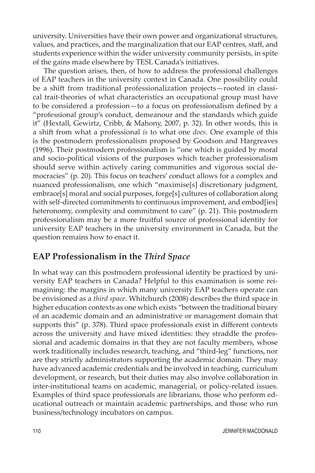university. Universities have their own power and organizational structures, values, and practices, and the marginalization that our EAP centres, staff, and students experience within the wider university community persists, in spite of the gains made elsewhere by TESL Canada's initiatives.

The question arises, then, of how to address the professional challenges of EAP teachers in the university context in Canada. One possibility could be a shift from traditional professionalization projects—rooted in classical trait-theories of what characteristics an occupational group must have to be considered a profession—to a focus on professionalism defined by a "professional group's conduct, demeanour and the standards which guide it" (Hextall, Gewirtz, Cribb, & Mahony, 2007, p. 32). In other words, this is a shift from what a professional *is* to what one *does*. One example of this is the postmodern professionalism proposed by Goodson and Hargreaves (1996). Their postmodern professionalism is "one which is guided by moral and socio-political visions of the purposes which teacher professionalism should serve within actively caring communities and vigorous social democracies" (p. 20). This focus on teachers' conduct allows for a complex and nuanced professionalism, one which "maximise[s] discretionary judgment, embrace[s] moral and social purposes, forge[s] cultures of collaboration along with self-directed commitments to continuous improvement, and embod[ies] heteronomy, complexity and commitment to care" (p. 21). This postmodern professionalism may be a more fruitful source of professional identity for university EAP teachers in the university environment in Canada, but the question remains how to enact it.

## **EAP Professionalism in the** *Third Space*

In what way can this postmodern professional identity be practiced by university EAP teachers in Canada? Helpful to this examination is some reimagining: the margins in which many university EAP teachers operate can be envisioned as a *third space.* Whitchurch (2008) describes the third space in higher education contexts as one which exists "between the traditional binary of an academic domain and an administrative or management domain that supports this" (p. 378). Third space professionals exist in different contexts across the university and have mixed identities: they straddle the professional and academic domains in that they are not faculty members, whose work traditionally includes research, teaching, and "third-leg" functions, nor are they strictly administrators supporting the academic domain. They may have advanced academic credentials and be involved in teaching, curriculum development, or research, but their duties may also involve collaboration in inter-institutional teams on academic, managerial, or policy-related issues. Examples of third space professionals are librarians, those who perform educational outreach or maintain academic partnerships, and those who run business/technology incubators on campus.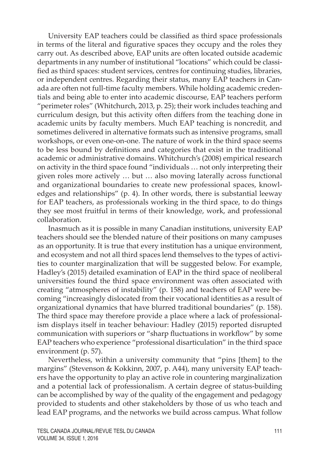University EAP teachers could be classified as third space professionals in terms of the literal and figurative spaces they occupy and the roles they carry out. As described above, EAP units are often located outside academic departments in any number of institutional "locations" which could be classified as third spaces: student services, centres for continuing studies, libraries, or independent centres. Regarding their status, many EAP teachers in Canada are often not full-time faculty members. While holding academic credentials and being able to enter into academic discourse, EAP teachers perform "perimeter roles" (Whitchurch, 2013, p. 25); their work includes teaching and curriculum design, but this activity often differs from the teaching done in academic units by faculty members. Much EAP teaching is noncredit, and sometimes delivered in alternative formats such as intensive programs, small workshops, or even one-on-one. The nature of work in the third space seems to be less bound by definitions and categories that exist in the traditional academic or administrative domains. Whitchurch's (2008) empirical research on activity in the third space found "individuals … not only interpreting their given roles more actively … but … also moving laterally across functional and organizational boundaries to create new professional spaces, knowledges and relationships" (p. 4). In other words, there is substantial leeway for EAP teachers, as professionals working in the third space, to do things they see most fruitful in terms of their knowledge, work, and professional collaboration.

Inasmuch as it is possible in many Canadian institutions, university EAP teachers should see the blended nature of their positions on many campuses as an opportunity. It is true that every institution has a unique environment, and ecosystem and not all third spaces lend themselves to the types of activities to counter marginalization that will be suggested below. For example, Hadley's (2015) detailed examination of EAP in the third space of neoliberal universities found the third space environment was often associated with creating "atmospheres of instability" (p. 158) and teachers of EAP were becoming "increasingly dislocated from their vocational identities as a result of organizational dynamics that have blurred traditional boundaries" (p. 158). The third space may therefore provide a place where a lack of professionalism displays itself in teacher behaviour: Hadley (2015) reported disrupted communication with superiors or "sharp fluctuations in workflow" by some EAP teachers who experience "professional disarticulation" in the third space environment (p. 57).

Nevertheless, within a university community that "pins [them] to the margins" (Stevenson & Kokkinn, 2007, p. A44), many university EAP teachers have the opportunity to play an active role in countering marginalization and a potential lack of professionalism. A certain degree of status-building can be accomplished by way of the quality of the engagement and pedagogy provided to students and other stakeholders by those of us who teach and lead EAP programs, and the networks we build across campus. What follow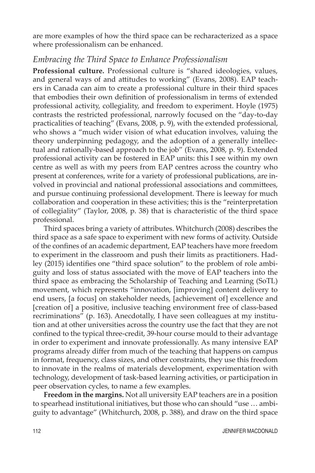are more examples of how the third space can be recharacterized as a space where professionalism can be enhanced.

### *Embracing the Third Space to Enhance Professionalism*

**Professional culture.** Professional culture is "shared ideologies, values, and general ways of and attitudes to working" (Evans, 2008). EAP teachers in Canada can aim to create a professional culture in their third spaces that embodies their own definition of professionalism in terms of extended professional activity, collegiality, and freedom to experiment. Hoyle (1975) contrasts the restricted professional, narrowly focused on the "day-to-day practicalities of teaching" (Evans, 2008, p. 9), with the extended professional, who shows a "much wider vision of what education involves, valuing the theory underpinning pedagogy, and the adoption of a generally intellectual and rationally-based approach to the job" (Evans, 2008, p. 9). Extended professional activity can be fostered in EAP units: this I see within my own centre as well as with my peers from EAP centres across the country who present at conferences, write for a variety of professional publications, are involved in provincial and national professional associations and committees, and pursue continuing professional development. There is leeway for much collaboration and cooperation in these activities; this is the "reinterpretation of collegiality" (Taylor, 2008, p. 38) that is characteristic of the third space professional.

Third spaces bring a variety of attributes. Whitchurch (2008) describes the third space as a safe space to experiment with new forms of activity. Outside of the confines of an academic department, EAP teachers have more freedom to experiment in the classroom and push their limits as practitioners. Hadley (2015) identifies one "third space solution" to the problem of role ambiguity and loss of status associated with the move of EAP teachers into the third space as embracing the Scholarship of Teaching and Learning (SoTL) movement, which represents "innovation, [improving] content delivery to end users, [a focus] on stakeholder needs, [achievement of] excellence and [creation of] a positive, inclusive teaching environment free of class-based recriminations" (p. 163). Anecdotally, I have seen colleagues at my institution and at other universities across the country use the fact that they are not confined to the typical three-credit, 39-hour course mould to their advantage in order to experiment and innovate professionally. As many intensive EAP programs already differ from much of the teaching that happens on campus in format, frequency, class sizes, and other constraints, they use this freedom to innovate in the realms of materials development, experimentation with technology, development of task-based learning activities, or participation in peer observation cycles, to name a few examples.

**Freedom in the margins.** Not all university EAP teachers are in a position to spearhead institutional initiatives, but those who can should "use … ambiguity to advantage" (Whitchurch, 2008, p. 388), and draw on the third space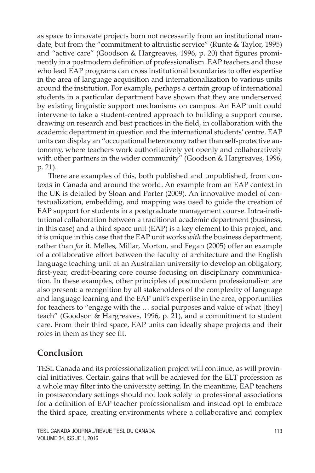as space to innovate projects born not necessarily from an institutional mandate, but from the "commitment to altruistic service" (Runte & Taylor, 1995) and "active care" (Goodson & Hargreaves, 1996, p. 20) that figures prominently in a postmodern definition of professionalism. EAP teachers and those who lead EAP programs can cross institutional boundaries to offer expertise in the area of language acquisition and internationalization to various units around the institution. For example, perhaps a certain group of international students in a particular department have shown that they are underserved by existing linguistic support mechanisms on campus. An EAP unit could intervene to take a student-centred approach to building a support course, drawing on research and best practices in the field, in collaboration with the academic department in question and the international students' centre. EAP units can display an "occupational heteronomy rather than self-protective autonomy, where teachers work authoritatively yet openly and collaboratively with other partners in the wider community" (Goodson & Hargreaves, 1996, p. 21).

There are examples of this, both published and unpublished, from contexts in Canada and around the world. An example from an EAP context in the UK is detailed by Sloan and Porter (2009). An innovative model of contextualization, embedding, and mapping was used to guide the creation of EAP support for students in a postgraduate management course. Intra-institutional collaboration between a traditional academic department (business, in this case) and a third space unit (EAP) is a key element to this project, and it is unique in this case that the EAP unit works *with* the business department, rather than *for* it. Melles, Millar, Morton, and Fegan (2005) offer an example of a collaborative effort between the faculty of architecture and the English language teaching unit at an Australian university to develop an obligatory, first-year, credit-bearing core course focusing on disciplinary communication. In these examples, other principles of postmodern professionalism are also present: a recognition by all stakeholders of the complexity of language and language learning and the EAP unit's expertise in the area, opportunities for teachers to "engage with the … social purposes and value of what [they] teach" (Goodson & Hargreaves, 1996, p. 21), and a commitment to student care. From their third space, EAP units can ideally shape projects and their roles in them as they see fit.

## **Conclusion**

TESL Canada and its professionalization project will continue, as will provincial initiatives. Certain gains that will be achieved for the ELT profession as a whole may filter into the university setting. In the meantime, EAP teachers in postsecondary settings should not look solely to professional associations for a definition of EAP teacher professionalism and instead opt to embrace the third space, creating environments where a collaborative and complex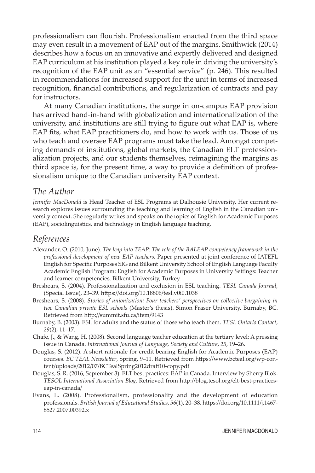professionalism can flourish. Professionalism enacted from the third space may even result in a movement of EAP out of the margins. Smithwick (2014) describes how a focus on an innovative and expertly delivered and designed EAP curriculum at his institution played a key role in driving the university's recognition of the EAP unit as an "essential service" (p. 246). This resulted in recommendations for increased support for the unit in terms of increased recognition, financial contributions, and regularization of contracts and pay for instructors.

At many Canadian institutions, the surge in on-campus EAP provision has arrived hand-in-hand with globalization and internationalization of the university, and institutions are still trying to figure out what EAP is, where EAP fits, what EAP practitioners do, and how to work with us. Those of us who teach and oversee EAP programs must take the lead. Amongst competing demands of institutions, global markets, the Canadian ELT professionalization projects, and our students themselves, reimagining the margins as third space is, for the present time, a way to provide a definition of professionalism unique to the Canadian university EAP context.

#### *The Author*

*Jennifer MacDonald* is Head Teacher of ESL Programs at Dalhousie University. Her current research explores issues surrounding the teaching and learning of English in the Canadian university context. She regularly writes and speaks on the topics of English for Academic Purposes (EAP), sociolinguistics, and technology in English language teaching.

### *References*

- Alexander, O. (2010, June). *The leap into TEAP: The role of the BALEAP competency framework in the professional development of new EAP teachers*. Paper presented at joint conference of IATEFL English for Specific Purposes SIG and Bilkent University School of English Language Faculty Academic English Program: English for Academic Purposes in University Settings: Teacher and learner competencies. Bilkent University, Turkey.
- Breshears, S. (2004). Professionalization and exclusion in ESL teaching. *TESL Canada Journal*, (Special Issue), 23–39. https://doi.org/10.18806/tesl.v0i0.1038
- Breshears, S. (2008). *Stories of unionization: Four teachers' perspectives on collective bargaining in two Canadian private ESL schools* (Master's thesis). Simon Fraser University, Burnaby, BC. Retrieved from http://summit.sfu.ca/item/9143
- Burnaby, B. (2003). ESL for adults and the status of those who teach them. *TESL Ontario Contact*, *29*(2), 11–17.
- Chafe, J., & Wang, H. (2008). Second language teacher education at the tertiary level: A pressing issue in Canada. *International Journal of Language, Society and Culture*, *25*, 19–26.
- Douglas, S. (2012). A short rationale for credit bearing English for Academic Purposes (EAP) courses. *BC TEAL Newsletter*, Spring, 9–11. Retrieved from https://www.bcteal.org/wp-content/uploads/2012/07/BCTealSpring2012draft10-copy.pdf
- Douglas, S. R. (2016, September 3). ELT best practices: EAP in Canada. Interview by Sherry Blok. *TESOL International Association Blog*. Retrieved from http://blog.tesol.org/elt-best-practiceseap-in-canada/
- Evans, L. (2008). Professionalism, professionality and the development of education professionals. *British Journal of Educational Studies*, *56*(1), 20–38. https://doi.org/10.1111/j.1467- 8527.2007.00392.x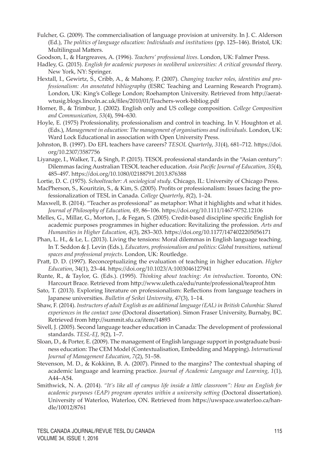- Fulcher, G. (2009). The commercialisation of language provision at university. In J. C. Alderson (Ed.), *The politics of language education: Individuals and institutions* (pp. 125–146). Bristol, UK: Multilingual Matters.
- Goodson, I., & Hargreaves, A. (1996). *Teachers' professional lives*. London, UK: Falmer Press.
- Hadley, G. (2015). *English for academic purposes in neoliberal universities: A critical grounded theory*. New York, NY: Springer.
- Hextall, I., Gewirtz, S., Cribb, A., & Mahony, P. (2007). *Changing teacher roles, identities and professionalism: An annotated bibliography* (ESRC Teaching and Learning Research Program). London, UK: King's College London; Roehampton University. Retrieved from http://aeratwtusig.blogs.lincoln.ac.uk/files/2010/01/Teachers-work-bibliog.pdf
- Horner, B., & Trimbur, J. (2002). English only and US college composition. *College Composition and Communication*, *53*(4), 594–630.
- Hoyle, E. (1975) Professionality, professionalism and control in teaching. In V. Houghton et al. (Eds.), *Management in education: The management of organisations and individuals.* London, UK: Ward Lock Educational in association with Open University Press.
- Johnston, B. (1997). Do EFL teachers have careers? *TESOL Quarterly*, *31*(4), 681–712. https://doi. org/10.2307/3587756
- Liyanage, I., Walker, T., & Singh, P. (2015). TESOL professional standards in the "Asian century": Dilemmas facing Australian TESOL teacher education. *Asia Pacific Journal of Education, 35*(4), 485–497. https://doi.org/10.1080/02188791.2013.876388
- Lortie, D. C. (1975). *Schoolteacher: A sociological study*. Chicago, IL: University of Chicago Press.
- MacPherson, S., Kouritzin, S., & Kim, S. (2005). Profits or professionalism: Issues facing the professionalization of TESL in Canada. *College Quarterly*, *8*(2), 1–24.
- Maxwell, B. (2014). "Teacher as professional" as metaphor: What it highlights and what it hides. *Journal of Philosophy of Education, 49*, 86–106. https://doi.org/10.1111/1467-9752.12106
- Melles, G., Millar, G., Morton, J., & Fegan, S. (2005). Credit-based discipline specific English for academic purposes programmes in higher education: Revitalizing the profession. *Arts and Humanities in Higher Education*, *4*(3), 283–303. https://doi.org/10.1177/1474022205056171
- Phan, L. H., & Le, L. (2013). Living the tensions: Moral dilemmas in English language teaching. In T. Seddon & J. Levin (Eds.), *Educators, professionalism and politics: Global transitions, national spaces and professional projects*. London, UK: Routledge.
- Pratt, D. D. (1997). Reconceptualizing the evaluation of teaching in higher education. *Higher Education*, 34(1), 23–44. https://doi.org/10.1023/A:1003046127941
- Runte, R., & Taylor, G. (Eds.). (1995). *Thinking about teaching: An introduction*. Toronto, ON: Harcourt Brace. Retrieved from http://www.uleth.ca/edu/runte/professional/teaprof.htm
- Sato, T. (2013). Exploring literature on professionalism: Reflections from language teachers in Japanese universities. *Bulletin of Seikei University*, *47*(3), 1–14.
- Shaw, F. (2014). *Instructors of adult English as an additional language (EAL) in British Columbia: Shared experiences in the contact zone* (Doctoral dissertation). Simon Fraser University, Burnaby, BC. Retrieved from http://summit.sfu.ca/item/14893
- Sivell, J. (2005). Second language teacher education in Canada: The development of professional standards. *TESL-EJ*, *9*(2), 1–7.
- Sloan, D., & Porter, E. (2009). The management of English language support in postgraduate business education: The CEM Model (Contextualisation, Embedding and Mapping). *International Journal of Management Education*, *7*(2), 51–58.
- Stevenson, M. D., & Kokkinn, B. A. (2007). Pinned to the margins? The contextual shaping of academic language and learning practice. *Journal of Academic Language and Learning*, *1*(1), A44–A54.
- Smithwick, N. A. (2014). *"It's like all of campus life inside a little classroom": How an English for academic purposes (EAP) program operates within a university setting* (Doctoral dissertation). University of Waterloo, Waterloo, ON. Retrieved from https://uwspace.uwaterloo.ca/handle/10012/8761

TESL CANADA JOURNAL/REVUE TESL DU CANADA 115 Volume 34, issue 1, 2016